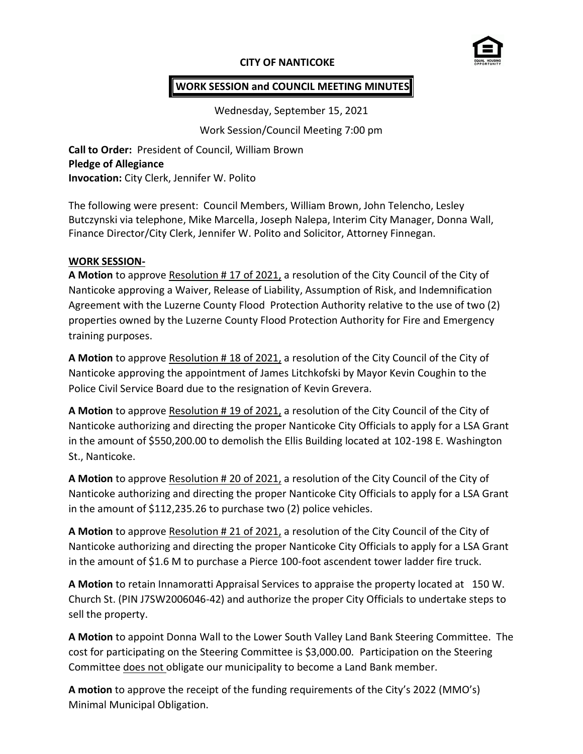# **CITY OF NANTICOKE**



# **WORK SESSION and COUNCIL MEETING MINUTES**

Wednesday, September 15, 2021

Work Session/Council Meeting 7:00 pm

**Call to Order:** President of Council, William Brown **Pledge of Allegiance Invocation:** City Clerk, Jennifer W. Polito

The following were present: Council Members, William Brown, John Telencho, Lesley Butczynski via telephone, Mike Marcella, Joseph Nalepa, Interim City Manager, Donna Wall, Finance Director/City Clerk, Jennifer W. Polito and Solicitor, Attorney Finnegan.

## **WORK SESSION-**

**A Motion** to approve Resolution # 17 of 2021, a resolution of the City Council of the City of Nanticoke approving a Waiver, Release of Liability, Assumption of Risk, and Indemnification Agreement with the Luzerne County Flood Protection Authority relative to the use of two (2) properties owned by the Luzerne County Flood Protection Authority for Fire and Emergency training purposes.

**A Motion** to approve Resolution # 18 of 2021, a resolution of the City Council of the City of Nanticoke approving the appointment of James Litchkofski by Mayor Kevin Coughin to the Police Civil Service Board due to the resignation of Kevin Grevera.

**A Motion** to approve Resolution # 19 of 2021, a resolution of the City Council of the City of Nanticoke authorizing and directing the proper Nanticoke City Officials to apply for a LSA Grant in the amount of \$550,200.00 to demolish the Ellis Building located at 102-198 E. Washington St., Nanticoke.

**A Motion** to approve Resolution # 20 of 2021, a resolution of the City Council of the City of Nanticoke authorizing and directing the proper Nanticoke City Officials to apply for a LSA Grant in the amount of \$112,235.26 to purchase two (2) police vehicles.

**A Motion** to approve Resolution # 21 of 2021, a resolution of the City Council of the City of Nanticoke authorizing and directing the proper Nanticoke City Officials to apply for a LSA Grant in the amount of \$1.6 M to purchase a Pierce 100-foot ascendent tower ladder fire truck.

**A Motion** to retain Innamoratti Appraisal Services to appraise the property located at 150 W. Church St. (PIN J7SW2006046-42) and authorize the proper City Officials to undertake steps to sell the property.

**A Motion** to appoint Donna Wall to the Lower South Valley Land Bank Steering Committee. The cost for participating on the Steering Committee is \$3,000.00. Participation on the Steering Committee does not obligate our municipality to become a Land Bank member.

**A motion** to approve the receipt of the funding requirements of the City's 2022 (MMO's) Minimal Municipal Obligation.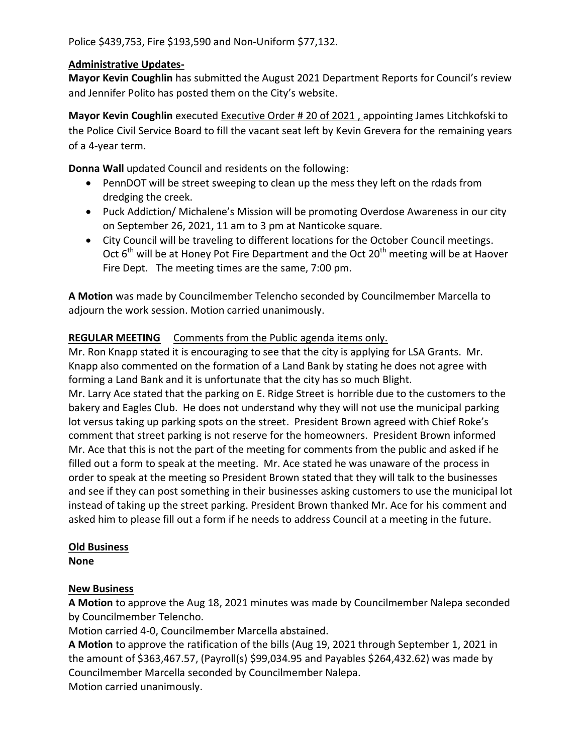Police \$439,753, Fire \$193,590 and Non-Uniform \$77,132.

## **Administrative Updates-**

**Mayor Kevin Coughlin** has submitted the August 2021 Department Reports for Council's review and Jennifer Polito has posted them on the City's website.

**Mayor Kevin Coughlin** executed Executive Order # 20 of 2021 , appointing James Litchkofski to the Police Civil Service Board to fill the vacant seat left by Kevin Grevera for the remaining years of a 4-year term.

**Donna Wall** updated Council and residents on the following:

- PennDOT will be street sweeping to clean up the mess they left on the rdads from dredging the creek.
- Puck Addiction/ Michalene's Mission will be promoting Overdose Awareness in our city on September 26, 2021, 11 am to 3 pm at Nanticoke square.
- City Council will be traveling to different locations for the October Council meetings. Oct  $6<sup>th</sup>$  will be at Honey Pot Fire Department and the Oct 20<sup>th</sup> meeting will be at Haover Fire Dept. The meeting times are the same, 7:00 pm.

**A Motion** was made by Councilmember Telencho seconded by Councilmember Marcella to adjourn the work session. Motion carried unanimously.

## **REGULAR MEETING** Comments from the Public agenda items only.

Mr. Ron Knapp stated it is encouraging to see that the city is applying for LSA Grants. Mr. Knapp also commented on the formation of a Land Bank by stating he does not agree with forming a Land Bank and it is unfortunate that the city has so much Blight.

Mr. Larry Ace stated that the parking on E. Ridge Street is horrible due to the customers to the bakery and Eagles Club. He does not understand why they will not use the municipal parking lot versus taking up parking spots on the street. President Brown agreed with Chief Roke's comment that street parking is not reserve for the homeowners. President Brown informed Mr. Ace that this is not the part of the meeting for comments from the public and asked if he filled out a form to speak at the meeting. Mr. Ace stated he was unaware of the process in order to speak at the meeting so President Brown stated that they will talk to the businesses and see if they can post something in their businesses asking customers to use the municipal lot instead of taking up the street parking. President Brown thanked Mr. Ace for his comment and asked him to please fill out a form if he needs to address Council at a meeting in the future.

#### **Old Business**

**None**

# **New Business**

**A Motion** to approve the Aug 18, 2021 minutes was made by Councilmember Nalepa seconded by Councilmember Telencho.

Motion carried 4-0, Councilmember Marcella abstained.

**A Motion** to approve the ratification of the bills (Aug 19, 2021 through September 1, 2021 in the amount of \$363,467.57, (Payroll(s) \$99,034.95 and Payables \$264,432.62) was made by Councilmember Marcella seconded by Councilmember Nalepa.

Motion carried unanimously.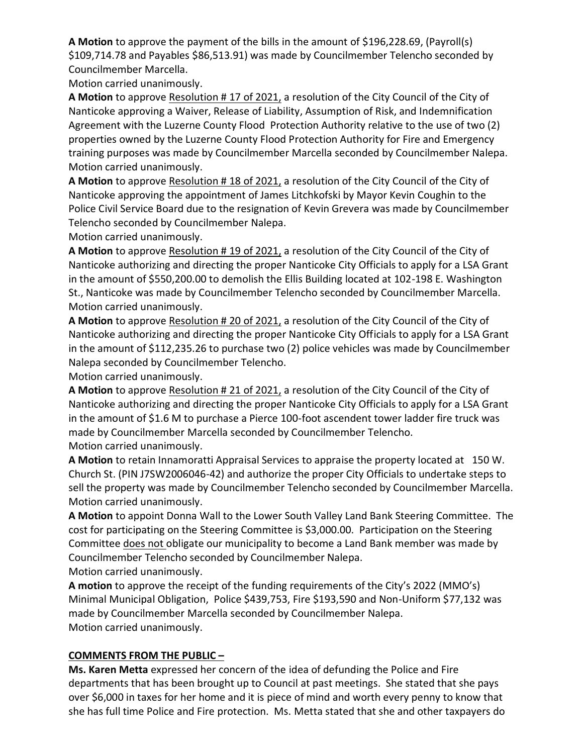**A Motion** to approve the payment of the bills in the amount of \$196,228.69, (Payroll(s) \$109,714.78 and Payables \$86,513.91) was made by Councilmember Telencho seconded by Councilmember Marcella.

Motion carried unanimously.

**A Motion** to approve Resolution # 17 of 2021, a resolution of the City Council of the City of Nanticoke approving a Waiver, Release of Liability, Assumption of Risk, and Indemnification Agreement with the Luzerne County Flood Protection Authority relative to the use of two (2) properties owned by the Luzerne County Flood Protection Authority for Fire and Emergency training purposes was made by Councilmember Marcella seconded by Councilmember Nalepa. Motion carried unanimously.

**A Motion** to approve Resolution # 18 of 2021, a resolution of the City Council of the City of Nanticoke approving the appointment of James Litchkofski by Mayor Kevin Coughin to the Police Civil Service Board due to the resignation of Kevin Grevera was made by Councilmember Telencho seconded by Councilmember Nalepa.

Motion carried unanimously.

**A Motion** to approve Resolution # 19 of 2021, a resolution of the City Council of the City of Nanticoke authorizing and directing the proper Nanticoke City Officials to apply for a LSA Grant in the amount of \$550,200.00 to demolish the Ellis Building located at 102-198 E. Washington St., Nanticoke was made by Councilmember Telencho seconded by Councilmember Marcella. Motion carried unanimously.

**A Motion** to approve Resolution # 20 of 2021, a resolution of the City Council of the City of Nanticoke authorizing and directing the proper Nanticoke City Officials to apply for a LSA Grant in the amount of \$112,235.26 to purchase two (2) police vehicles was made by Councilmember Nalepa seconded by Councilmember Telencho.

Motion carried unanimously.

**A Motion** to approve Resolution # 21 of 2021, a resolution of the City Council of the City of Nanticoke authorizing and directing the proper Nanticoke City Officials to apply for a LSA Grant in the amount of \$1.6 M to purchase a Pierce 100-foot ascendent tower ladder fire truck was made by Councilmember Marcella seconded by Councilmember Telencho. Motion carried unanimously.

**A Motion** to retain Innamoratti Appraisal Services to appraise the property located at 150 W. Church St. (PIN J7SW2006046-42) and authorize the proper City Officials to undertake steps to sell the property was made by Councilmember Telencho seconded by Councilmember Marcella. Motion carried unanimously.

**A Motion** to appoint Donna Wall to the Lower South Valley Land Bank Steering Committee. The cost for participating on the Steering Committee is \$3,000.00. Participation on the Steering Committee does not obligate our municipality to become a Land Bank member was made by Councilmember Telencho seconded by Councilmember Nalepa.

Motion carried unanimously.

**A motion** to approve the receipt of the funding requirements of the City's 2022 (MMO's) Minimal Municipal Obligation, Police \$439,753, Fire \$193,590 and Non-Uniform \$77,132 was made by Councilmember Marcella seconded by Councilmember Nalepa. Motion carried unanimously.

# **COMMENTS FROM THE PUBLIC –**

**Ms. Karen Metta** expressed her concern of the idea of defunding the Police and Fire departments that has been brought up to Council at past meetings. She stated that she pays over \$6,000 in taxes for her home and it is piece of mind and worth every penny to know that she has full time Police and Fire protection. Ms. Metta stated that she and other taxpayers do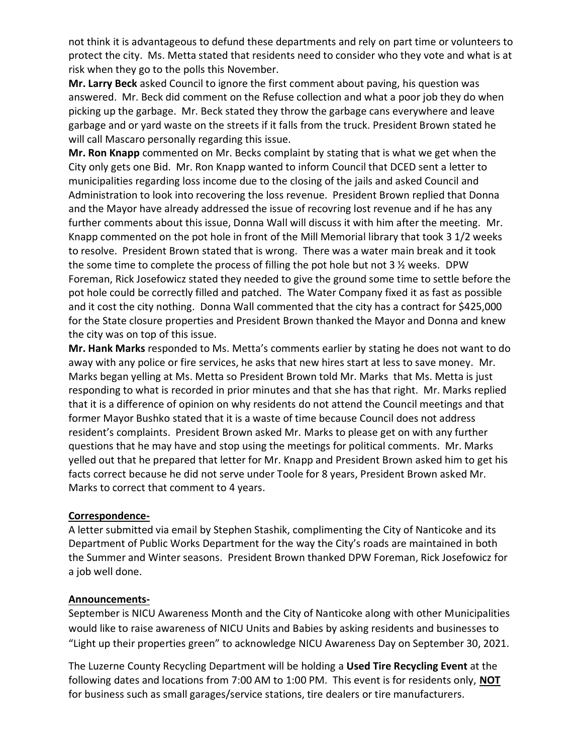not think it is advantageous to defund these departments and rely on part time or volunteers to protect the city. Ms. Metta stated that residents need to consider who they vote and what is at risk when they go to the polls this November.

**Mr. Larry Beck** asked Council to ignore the first comment about paving, his question was answered. Mr. Beck did comment on the Refuse collection and what a poor job they do when picking up the garbage. Mr. Beck stated they throw the garbage cans everywhere and leave garbage and or yard waste on the streets if it falls from the truck. President Brown stated he will call Mascaro personally regarding this issue.

**Mr. Ron Knapp** commented on Mr. Becks complaint by stating that is what we get when the City only gets one Bid. Mr. Ron Knapp wanted to inform Council that DCED sent a letter to municipalities regarding loss income due to the closing of the jails and asked Council and Administration to look into recovering the loss revenue. President Brown replied that Donna and the Mayor have already addressed the issue of recovring lost revenue and if he has any further comments about this issue, Donna Wall will discuss it with him after the meeting. Mr. Knapp commented on the pot hole in front of the Mill Memorial library that took 3 1/2 weeks to resolve. President Brown stated that is wrong. There was a water main break and it took the some time to complete the process of filling the pot hole but not 3 ½ weeks. DPW Foreman, Rick Josefowicz stated they needed to give the ground some time to settle before the pot hole could be correctly filled and patched. The Water Company fixed it as fast as possible and it cost the city nothing. Donna Wall commented that the city has a contract for \$425,000 for the State closure properties and President Brown thanked the Mayor and Donna and knew the city was on top of this issue.

**Mr. Hank Marks** responded to Ms. Metta's comments earlier by stating he does not want to do away with any police or fire services, he asks that new hires start at less to save money. Mr. Marks began yelling at Ms. Metta so President Brown told Mr. Marks that Ms. Metta is just responding to what is recorded in prior minutes and that she has that right. Mr. Marks replied that it is a difference of opinion on why residents do not attend the Council meetings and that former Mayor Bushko stated that it is a waste of time because Council does not address resident's complaints. President Brown asked Mr. Marks to please get on with any further questions that he may have and stop using the meetings for political comments. Mr. Marks yelled out that he prepared that letter for Mr. Knapp and President Brown asked him to get his facts correct because he did not serve under Toole for 8 years, President Brown asked Mr. Marks to correct that comment to 4 years.

#### **Correspondence-**

A letter submitted via email by Stephen Stashik, complimenting the City of Nanticoke and its Department of Public Works Department for the way the City's roads are maintained in both the Summer and Winter seasons. President Brown thanked DPW Foreman, Rick Josefowicz for a job well done.

#### **Announcements-**

September is NICU Awareness Month and the City of Nanticoke along with other Municipalities would like to raise awareness of NICU Units and Babies by asking residents and businesses to "Light up their properties green" to acknowledge NICU Awareness Day on September 30, 2021.

The Luzerne County Recycling Department will be holding a **Used Tire Recycling Event** at the following dates and locations from 7:00 AM to 1:00 PM. This event is for residents only, **NOT** for business such as small garages/service stations, tire dealers or tire manufacturers.